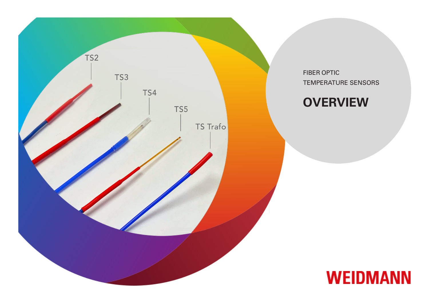

FIBER OPTIC TEMPERATURE SENSORS

## **OVERVIEW**

![](_page_0_Picture_3.jpeg)